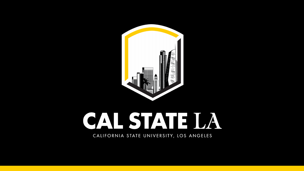## CALSTATE LA CALIFORNIA STATE UNIVERSITY, LOS ANGELES

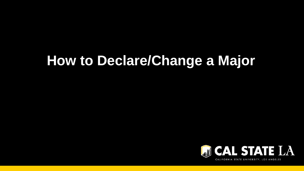# **How to Declare/Change a Major**



![](_page_1_Picture_2.jpeg)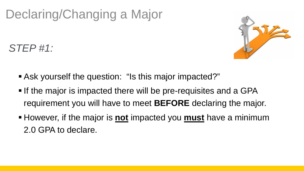- Ask yourself the question: "Is this major impacted?"
- If the major is impacted there will be pre-requisites and a GPA requirement you will have to meet **BEFORE** declaring the major. **However, if the major is not impacted you must have a minimum**
- 2.0 GPA to declare.

![](_page_2_Picture_6.jpeg)

## Declaring/Changing a Major

## *STEP #1:*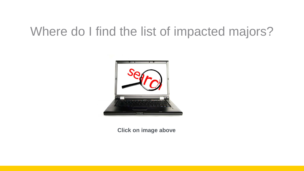## Where do I find the list of impacted majors?

![](_page_3_Picture_1.jpeg)

#### **Click on image above**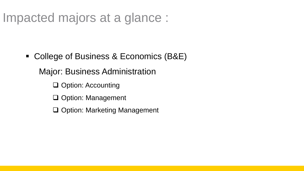■ College of Business & Economics (B&E) Major: Business Administration □ Option: Accounting Q Option: Management Option: Marketing Management

## Impacted majors at a glance :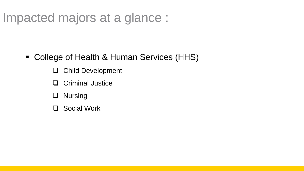- Child Development
- Criminal Justice
- **Q** Nursing
- Social Work

![](_page_5_Picture_6.jpeg)

## Impacted majors at a glance :

• College of Health & Human Services (HHS)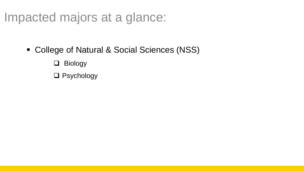College of Natural & Social Sciences (NSS) Biology Psychology

![](_page_6_Picture_2.jpeg)

## Impacted majors at a glance: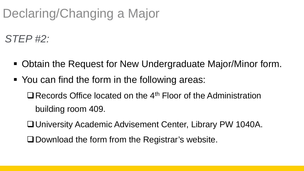- Obtain the Request for New Undergraduate Major/Minor form.
- **You can find the form in the following areas:**  $\Box$  Records Office located on the 4<sup>th</sup> Floor of the Administration building room 409.
	- University Academic Advisement Center, Library PW 1040A.
	- **Q Download the form from the Registrar's website.**

![](_page_7_Picture_6.jpeg)

## Declaring/Changing a Major

*STEP #2:*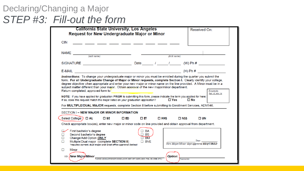### Declaring/Changing a Major *STEP #3: Fill-out the form*

| <b>California State University, Los Angeles</b><br><b>Request for New Undergraduate Major or Minor</b>                                                                                                                                                                                                                                                                                                                                                                                                                                                                                                                                                                                                                                                                                                                     | Received On:                                                                   |
|----------------------------------------------------------------------------------------------------------------------------------------------------------------------------------------------------------------------------------------------------------------------------------------------------------------------------------------------------------------------------------------------------------------------------------------------------------------------------------------------------------------------------------------------------------------------------------------------------------------------------------------------------------------------------------------------------------------------------------------------------------------------------------------------------------------------------|--------------------------------------------------------------------------------|
| <b>CIN</b><br>___ ____ ___ ___ ___ ___ ___ ___ ___                                                                                                                                                                                                                                                                                                                                                                                                                                                                                                                                                                                                                                                                                                                                                                         |                                                                                |
| $NAME \nightharpoonup$ (last name)                                                                                                                                                                                                                                                                                                                                                                                                                                                                                                                                                                                                                                                                                                                                                                                         | (first name)                                                                   |
| SIGNATURE <b>And Container the Contract of the Contract of Contract Contract of Contract On Contract O</b>                                                                                                                                                                                                                                                                                                                                                                                                                                                                                                                                                                                                                                                                                                                 | Date $/$ $/$ $/$ $(W)$ Ph $#$                                                  |
|                                                                                                                                                                                                                                                                                                                                                                                                                                                                                                                                                                                                                                                                                                                                                                                                                            |                                                                                |
| Instructions: To change your undergraduate major or minor you must be enrolled during the quarter you submit the<br>form. For all Undergraduate Change of Major or Minor requests, complete Section I. Clearly identify your college,<br>degree objective when appropriate and enter your new major or minor name on the line provided. A Minor must be in a<br>subject matter different than your major. Obtain approval of the new major/minor department.<br>Return completed, approved form to<br>NOTE: If you have applied for graduation PRIOR to submitting this form, please indicate the term you applied for here:<br>If so, does this request match the major listed on your graduation application?<br>For MULTIPLE/DUAL MAJOR requests, complete Section II before submitting to Enrollment Services, ADM146. | Example:<br>Fall '13, Win '14<br>$\Box$ Yes<br>$\square$ No                    |
| <b>SECTION I – NEW MAJOR OR MINOR INFORMATION</b>                                                                                                                                                                                                                                                                                                                                                                                                                                                                                                                                                                                                                                                                                                                                                                          |                                                                                |
| Select College:)<br>$\Box$ AL<br>$\square$ BE<br>$\square$ ED<br>$\square$ et                                                                                                                                                                                                                                                                                                                                                                                                                                                                                                                                                                                                                                                                                                                                              | $\Box$ HHS<br>$\square$ NSS<br>⊡ UN                                            |
| Check appropriate box(es), enter new major or minor code on line provided and obtain approval from department.                                                                                                                                                                                                                                                                                                                                                                                                                                                                                                                                                                                                                                                                                                             |                                                                                |
| First bachelor's degree<br>Second bachelor's degree<br>Change/Add Option ONLY<br>□<br>Multiple/Dual major (complete SECTION II)<br>□<br>. .<br>*requires current, dual major and Grad office approval (below)                                                                                                                                                                                                                                                                                                                                                                                                                                                                                                                                                                                                              | BA<br>BS<br><b>BM</b><br>Date<br>BVE<br>New Major/Minor dept approval REQUIRED |
| Minor                                                                                                                                                                                                                                                                                                                                                                                                                                                                                                                                                                                                                                                                                                                                                                                                                      |                                                                                |
| New Majoy/Minor<br>PLEASE USE MAJOR/MINOR CODES (ACCT, HIST, ART, NURS, BIOC, PHIL, EE, CRIM, ETC.)                                                                                                                                                                                                                                                                                                                                                                                                                                                                                                                                                                                                                                                                                                                        | <b>Option:</b><br>(If appropriate)                                             |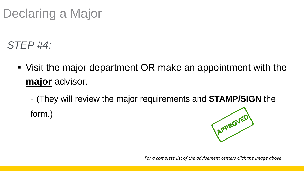### Visit the major department OR make an appointment with the

**major** advisor.

form.)

#### - (They will review the major requirements and **[STAMP/SIGN](http://www.calstatela.edu/academicadvisementcenter/advisement-centers)** the

![](_page_9_Picture_6.jpeg)

## Declaring a Major

*STEP #4:*

*For a complete list of the advisement centers click the image above*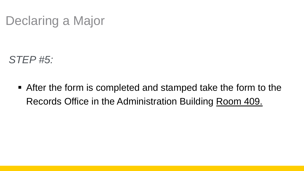## Declaring a Major

*STEP #5:*

■ After the form is completed and stamped take the form to the Records Office in the Administration Building Room 409.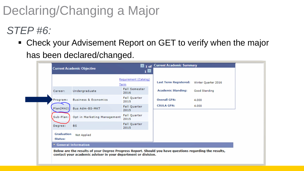### ■ Check your Advisement Report on GET to verify when the major has been declared/changed.

|                       | <b>Current Academic Objective</b><br>1 <b>E</b>                                                                                                                         |                                      |                              |                     |  |  |
|-----------------------|-------------------------------------------------------------------------------------------------------------------------------------------------------------------------|--------------------------------------|------------------------------|---------------------|--|--|
|                       |                                                                                                                                                                         | Requirement (Catalog)<br><u>Term</u> | <b>Last Term Registered:</b> | Winter Quarter 2016 |  |  |
| Career:               | Undergraduate                                                                                                                                                           | <b>Fall Semester</b><br>2016         | <b>Academic Standing:</b>    | Good Standing       |  |  |
| Program:              | <b>Business &amp; Economics</b>                                                                                                                                         | <b>Fall Quarter</b><br>2015          | <b>Overall GPA:</b>          | 4.000               |  |  |
|                       | Plan(MAJ) Bus Adm-BS-MKT                                                                                                                                                | <b>Fall Quarter</b><br>2015          | <b>CSULA GPA:</b>            | 4.000               |  |  |
| Sub-Plan:             | Opt in Marketing Management                                                                                                                                             | <b>Fall Quarter</b><br>2015          |                              |                     |  |  |
| Degree:               | <b>BS</b>                                                                                                                                                               | <b>Fall Quarter</b><br>2015          |                              |                     |  |  |
| Graduation<br>Status: | <b>Not Applied</b>                                                                                                                                                      |                                      |                              |                     |  |  |
|                       | ▼ General Information                                                                                                                                                   |                                      |                              |                     |  |  |
|                       | Below are the results of your Degree Progress Report. Should you have questions regarding the results,<br>contact your academic adviser in your department or division. |                                      |                              |                     |  |  |

![](_page_11_Picture_4.jpeg)

## Declaring/Changing a Major

## *STEP #6:*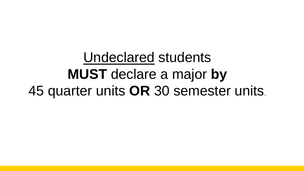## Undeclared students **MUST** declare a major **by** 45 quarter units **OR** 30 semester units.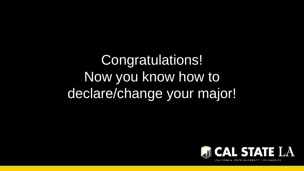# Congratulations! Now you know how to declare/change your major!

![](_page_13_Picture_1.jpeg)

![](_page_13_Picture_2.jpeg)